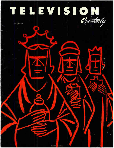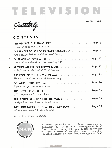

W<sup>i</sup>nter, <sup>1958</sup>

Gu<del>arter</del>ly

#### CONTENTS

| A bagful of special season events                                                  |         |  |
|------------------------------------------------------------------------------------|---------|--|
| THE TENDER TOUCH OF CAPTAIN KANGAROO<br>The Captain believes children need fantasy | Page 6  |  |
| TV TEACHING GETS A TRYOUT  Page 12<br>Forty million Americans Instructed by TV     |         |  |
| What's behind the Seal of Good Practice                                            | Page 13 |  |
| He understood the power of broadcasting                                            | Page 15 |  |
| SO WHO NEEDS TV? - ME.<br>New vistas for the mature mind                           | Page 16 |  |
| TV's impact on East and West                                                       | Page 18 |  |
| A significant new force in broadcasting                                            | Page 19 |  |
| NOTHING BRINGS IT HOME LIKE TELEVISION<br>More homes have TV than bathtubs         | Page 23 |  |

Cover by Howard Chapman



A quarterly publication of the National Association of Broadcasters, 1771 N St., N.W., Washington 6, D. C. Prices: 10¢ per copy for 100 copies or less, 8¢ per copy<br>for copies in excess of 100, plus postage. Accepted as Controlled Circulation at Post Office, Washington 13. D. C.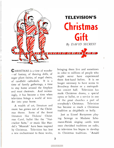

**C** HRISTMAS is a time of wonder —of fantasy, of dancing dolls, of sugar plum fairies, of angel choirs, of candlelit cathedrals. It is a time of family gatherings, a time to stay home around the fireplace and roast chestnuts. And increasingly, it has become a time when television brings a world of wonder into your home.

p.

A wealth of art, literature and music has grown out of the Christmas theme. Some of the finest literature like Dickens' Christmas Carol, ballet like the " Nutcracker Suite," or music like Handel's " Messiah" have been inspired by Christmas. Television has lent a new enchantment to these works, bringing them live and sometimes in color to millions of people who might never have experienced them first-hand before. It is no longer necessary to have access to Broadway theater or a metropolitan concert hall. Television has made Christmas drama, a special opera or ballet, or a service in one of the great churches a part of everybody's Christmas. Television has become as much a Christmas tradition as sleighbells or holly.

Just as Lionel Barrymore playing Scrooge or Madame Schumann-Heink singing carols were once cherished traditions on radio, so television has begun to develop its Christmas traditions. " Amahl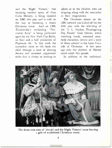and the Night Visitors," that haunting modern opera of Gian Carlo Menotti, is being repeated on NBC this year and is well on the way to becoming a classic Christmas event. And on CBS, Tchaikovsky's enchanting "Nutcracker Suite" is being performed again by the New York City Ballet, an hour and a half production of Playhouse 90. In this work the nutcracker come to life leads the child through a land of dancing flowers and animated peppermint sticks that is always as exciting to

adults as to the children who are skipping along with the nutcracker in their imaginations.

The Christmas season on the ABC network was kicked off for the fifth year with the televising of the "J. L. Hudson Thanksgiving Day Parade" from Detroit, where marching bands, costumed storybook characters, clowns and a score of floats ushered in the Santa Claus side of Christmas. A few years ago only the children of Detroit could watch this parade.

In addition to the traditional



The three wise men of `Amahl and the Night Visitors' come bearing a gift of traditional Christmas music.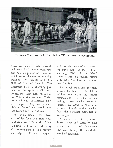

The Santa Claus parade in Detroit is a TV treat for the youngsters.

Christmas shows, each network and many local stations stage special Yuletide productions, some of which are on the way to becoming traditions. On schedule for NBC's Hallmark Hall of Fame is " The Christmas Tree," a charming pastiche of the spirit of Christmas written by Helen Deutsch, blending Yule stories, medieval Christmas carols and ice fantasies. Shirley Temple's Storybook presents "Mother Goose" as a special Yuletide feature for the children.

For serious drama, Helen Hayes is scheduled for a U.S. Steel Hour production on CBS entitled "One Red Rose for Christmas," the story of a Mother Superior in a convent who helps a child who is respon-

sible for the death of a woman the nun's sister. O'Henry's heartwarming "Gift of the Magi" comes to life in a musical version with Sally Ann Howes and Gordon MacRae.

And on Christmas Eve, the night when a star shone over Bethlehem, millions can watch the solenan commemoration of that event in a midnight mass televised from St. Patrick's Cathedral in New York or in a midnight service televised from the National Cathedral in Washington.

A whole vista of art, music, drama, dance and ceremony have become a part of Everyman's Christmas through the wonderful world of television.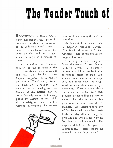# The Tender Touch of

ACCORDING to Henry Wadsworth Longfellow, the "pause in the day's occupations that is known as the children's hour" comes at dusk, or in his famous lines, "between the dark and the daylight, when the night is beginning to lower."

But for millions of American children the favorite pause in the day's occupations comes between 8 and 8:45 a.m.—the hour when Captain Kangaroo is on in most of the . country. The Captain, a funny old Dutch uncle to the kids, is also their teacher and moral guardian though the kids scarcely know it. As a Peabody Award last spring put it, the Captain "instructs children in safety, in ethics, in health, without interrupting the serious



business of entertaining them at the same time."

Nat Hentoff, in a recent article in Reporter magazine entitled, "The Magic Mornings of Captain Kangaroo," told of the impact the program has made:

"The program has already affected the mores of many households," he wrote. "Large numbers of American children are beginning to respond 'please' or 'thank you' when a parent, emulating the Captain, asks them what 'the magic word' is when they want or get something. There is also evidence that when the Captain ends each program by reminding his smaller viewers that 'this is another begood-to- mother day,' some do remember. One literal-minded boy of four bedeviled his mother mercilessly one day after watching the program and when asked why he had been so bad answered: 'The Captain didn't say be good to mother today.' 'Please,' the mother wrote in, 'don't forget again.' "

q

6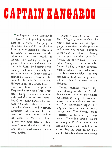# CAPTAIN KANGAROO

The Reporter article continued:

"Apart from improving the manners of its viewers, the program stimulates the child's imagination in many ways, helping prepare him for school or complementing the adjustment of those already in school. The 'teaching' on the program is done as entertainment, and the child learns by becoming voluntarily and often intensely involved in what the Captain and his friends are doing. There are, for example, the animals. Some 160 different kinds of animals have already been shown on the program. They are the province of Mr. Green Jeans ( Lumpy Brannum, a musician with Fred Waring for many years). Mr. Green Jeans handles the animals, tells where they come from and what they eat, and otherwise introduces the children to one branch of natural history. Neither the Captain nor Mr. Green Jeans, by the way, uses cards or Tele-PrompTers on the show. All dialogue is ad-libbed from a preliminary outline.

"Another valuable associate is Gus Allegretti, who inhabits—by fingers and voice—all the regular puppet characters on the program and others who appear in musical productions and stories. Among the puppets are the comic Mr. Moose, the poetry-making Grandfather Clock, and the bespectacled Bunny Rabbit, a wildly inventive creature who is occasionally irreverent but never malicious, and who becomes in time uncannily believable even though he never has any dialogue.

"Every morning there's playtime, during which the Captain shows viewers how to make simple but absorbing things like hats and masks and seemingly endless projects from construction paper. His program does include cartoons, among them "Tom Terrific," made especially for the series by Terrytoons. There is a strong element of parody in Tom's adventures that has led many adults to follow his career, but the child enjoys Tom and his friends and enemies whether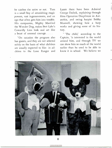he catches the satire or not. Tom is a small boy of astonishing magic powers, vast ingenuousness, and an ego that often gets him into trouble. His companion, Mighty Manfred the Wonder Dog, makes Bert Lahr's Cowardly Lion look and act like a beast of unusual courage. . . .

"On occasion the program also has guests, and they are not selected solely on the basis of what children are usually expected to like: in addition to the Lone Ranger and

Lassie there have been Admiral George Dufeck, explaining through films Operation Deepfreeze in Antarctica, and swing harpist Bobby Maxwell, showing how a harp works and giving some of its history.

" 'The child,' according to the Captain, 'is interested in the world around him, and through TV we can show him so much of the world earlier than he used to be able to know it in school. We believe we

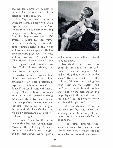can handle almost any subject or guest so long as we can make it interesting to the children.'

"The Captain's getup features a white mustache, a bushy wig, and a captain's cap. He is 'Captain' of the treasure house, where everything happens, and 'Kangaroo' derives from his big-pocketed coat. Off screen, he is Bob Keeshan, thirtyone, round, amiable, and with the same extraordinarily gentle voice and manner of the Captain. He has been an NBC page boy, a Marine, and, for five years, Clarabelle on 'The Howdy Doody Show.' He later originated and starred in two New York children's shows, and then became the Captain.

"Keeshan, who has three children of his own, does not have a child psychologist or other professional experts on children on his staff. 'I doubt if we could work with them,' he says. 'For one thing, there seems to be so much disagreement among the experts themselves, and for another, we prefer to rely on our own instincts. The others on the production staff also have children and we go by experience and what we feel will be right.'

" If we can't maintain that warm relationship between Captain Kangaroo and the child,' says Keeshan, 'we can have the biggest budgets and the best-known "name" guests



and it won't mean a thing. We'll have no show.'

"No children are allowed as guests in the studio, nor are children seen on the program. 'We had a little girl as a character on the show,' Keeshan recalls, 'but the children felt she was coming between them and the Captain. We don't have them in the audience because if they were there, we couldn't help playing to them, and there are millions of kids at home to whom we should be playing.'

Keeshan avoids any violence on his show. He feels it is difficult for a young mind to distinguish between reality and even such fantasy as cartoons.

"'I do think, however,' Keeshan continued, 'that these cartoons can do harm only when the child is vulnerable to this kind of exposure.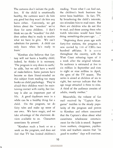The cartoons don't initiate the problem. If the child is emotionally healthy, the cartoons won't do him any good but they won't do him any harm either. Conversely, we get letters about the "wonders" we've done for some children. I don't think we can do " wonders" for children unless they're ready to receive what we have to give. We can't substitute for parents. A child can only learn when he's ready to learn.'

"Keeshan also believes that fantasy will not harm a healthy child; indeed, he thinks it is necessary. 'The program is very down to earth,' he adds, 'but we still have a world of make-believe. Some parents have become so darn literal-minded on this subject from reading too many books on child psychology. They're afraid their children won't be maintaining contact with reality, but fantasy is also an important part of life. A good daydream once in a while can be a healthy thing for a child. On the program, we do fairy tales and make up some of our own. We have magic, and we take advantage of the electronic devices available to us. Characters sometimes fly around.'

"Keeshan reads a book or so a week on the program, and does not feel that TV has limited children's

reading. 'From what I can find out, the children's book business has never been healthier. In fact, TV, by broadening the child's interests, can stimulate him to read more. But there are children who do not like to read, and those among them who watch television would have been doing something else years ago.' . . ."

 $\mathbf{I}$ 

"Beginning three years ago with forty-five stations, the program is now carried by 116 of CBS's two hundred affiliates. It is seen throughout the country, with the West Coast releasing tapes of it a week after the original telecast. Its audience is estimated at five to six million in September and rises to eight or nine million in April, the apex of the TV season. The series is aimed at children of six to eight, but surveys indicate that the age range attracted is three to nine. A third of the audience consists of adults, mostly mother."

Meanwhile, the volume of fan mail received by "Captain Kangaroo" testifies to the steady popularity of the program and proves to Keeshan and others concerned that the Captain's ideas about what constitutes wholesome entertainment for the kids is sound. Support from mothers, clergymen, psychiatrists and teachers assures that " be good to mother" days will continue.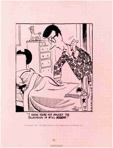

C»pyright, 1937, The Hall Syndicate Inc. Reprinted with permislion.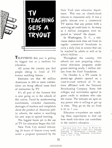TV TEACHING GEIS A IRTUUT I

TELEVISION this year is getting its biggest test as a medium for education.

All across the country you find people sitting in front of TV screens watching lessons . . .

Estimates are that 40 million Americans in 200 or more communities are being offered some kind of instruction by TV.

It's all part of the ferment that is now going on in the schools of this nation. Faced by mushrooming enrollments, crowded classrooms, shortages of teachers and complaints about the product of American public schools, the nation is searching for new ways to spread learning.

The biggest boom yet in the use of TV for education began this fall.

New York City started telecasting 28 hours of lessons every week under a program sponsored by the

New York state education department. This was no closed-circuit telecast to classrooms only. It was a public telecast over a commercial TV station that any person with a receiving set could tune in. As many as 2 million youngsters were expected to "attend" the classes.

In Washington, D. C., a television station took time out from its regular commercial broadcasts to carry a daily class in science that can be watched by adults as well as by school children . . .

Throughout the country, 450 schools are now preparing educational television programs under grants totaling nearly 1 million dollars from the Ford Foundation.

On October 6, a TV course in atomic-age physics opened on a coast-to-coast network of 75 stationg affiliated with the National Broadcasting Company. Some 300 colleges and universities agreed to grant credit to students who take the course. The telecasts are open to any person who is willing to get up in time. They go on the air from 6:30 to 7 a.m.

Educators everywhere are watching these experiments to find out how much television can contribute to the nation's education . . .

Reprinted from 'U.S. News & World Report, an independent weekly news magazine<br>published at Washington. Copyright 1958<br>United States News Publishing Corporation.<br>Issue of Oct. 3, 1958.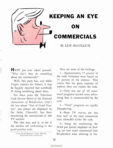

HAVE you ever asked yourself, "Why don't they do something about the commercials?"

Well, this party has, and while Utopia remains far distant, it may be happily reported that somebody IS doing something about them.

For three years the Television Code Review Board of the National Association of Broadcasters (that's the one whose "Seal of Good Practice" you always see displayed by the better Channels) has been monitoring the commercials of 300 TV stations.

The idea was, and is, to see if the stations are conforming to the good practice code.

t rom the Bridgeport, Conn. Herald.<br>Reprinted with permission.

Here are some of the findings:

1—Approximately 75 percent of the code violations were found on 15 percent of the stations. That means that the great majority of stations does not violate the code.

2— Only one out of 20 monitored programs carried more advertising than is recommended by the code.

3—"Pitch" programs are rapidly disappearing.

4—Most TV movies use less than half of the total commercial time allowable under the code.

In doing the monitoring, the NAB put special emphasis on finding out how much commercial time broadcasters were utilizing in fea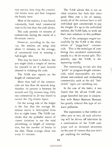ture movies, how long the commercial breaks were and how frequent the breaks were.

Most of the stations, it was found, voluntarily limit total commercial time to far less than the code allows.

The code permits 18 minutes of commercials during the course of a 90-minute movie.

However, according to the survey, the stations are using only about 11 minutes, on the average, of commercial time in running a full-length film.

This may be hard to believe, but you might clock a couple of movies for yourself to see if your favorite channel is violating the code.

The NAB also reports on the length of commercials.

More than half of the commercials are less than 90 seconds long. Another 44 percent is between 90 seconds and 21/<sub>2</sub> minutes long. Only one commercial in 20 was found to exceed the  $2\frac{1}{2}$ -minute figure.

On the wrong side of the ledger is the fact that the average 90 minute movie is interrupted from five to eight times. The NAB concludes that the probable source of viewer irritation is not the total advertising, or length of interruption, but the number of breaks in the film. These average about one every 15 minutes.

The NAB admits this is not an ideal situation but feels that since good films cost a lot of money, nearly all of the stations have to sell individual spot commercials to pay the freight. It's up to the individual stations, the NAB feels, to work out their own solutions to this problem.

One of the campaigns waged successfully by the NAB is the elimination of "piggy-back" commercials. This is the technique of combining two unrelated commercials, usually in a 40-20 second split. This practice, says the NAB, is disappearing rapidly.

The monitoring reveals also that "pitch" or program-length commercials, ruled unacceptable, are now almost non-existent and misleading commercials, such as the old "baitswitch" types, are vanishing, too.

In the case of the latter, it was found that the all-out NAB campaign launched last year in conjunction with Better Business Bureaus, has greatly reduced this type of airwave pollution.

The expectation is that within another year or two, all such advertising will be driven off television by a continuation of the NAB campaign and an increased awareness on the part of viewers that you don't get anything for nothing.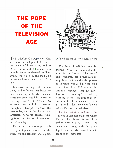## THE POPE OF THE **TELEVISION** AGE



THE DEATH OF Pope Pius XII, who was the first pontiff to realize the power of broadcasting and to utilize radio and television, was brought home to devoted millions around the world by the media he did so much to recognize in his lifetime.

Television coverage of the ancient, somber funeral rites lasted for two hours, up until the moment when the body was laid to rest in the crypt beneath St. Peter's. An estimated 20 million persons throughout Europe watched the ceremonies, and a few hours later American networks carried highlights of the rites to millions more in this country.

The Vatican was swamped with messages of praise from around the world for the freedom and dignity with which the historic events were covered.

The Pope himself had once described TV as "an important milestone in the history of humanity" and frequently urged that care always be taken to see that this powerful medium was used for the good of mankind. In a 1957 encyclical he said it is "excellent" that this "privilege of our century" be utilized, warning at the same time that listeners must make wise choice of programs and make their views known where they will be effective.

For the first time in history, the millions of common people to whom the Pope had shown his great dedication were able to "attend" the ceremonies along with the privileged handful who gained admittance to the cathedral.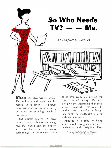

**MUCH** has been written against TV, and it would seem time for rebuttal in its favor . . . because there are some of us who really do admit to enjoying television programs.

The articles against TV seem to be flavored with a certain smugness that would give the impression that the writers are above such things and believe that those of us who enjoy TV are on the road to mental vacuity. The articles give the impression that their writers feared what TV would do to their mental activity, as though they might be inadequate to cope with its temptations.

Maturity is a state of being which should bring us a sense of moderation and discipline. Tele-

From the Christian Science Monitor. Reprinted with permission.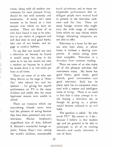vision, along with all modern conveniences for more pleasant living, should be met with maturity and moderation. It surely isn't some monster to be feared as a time usurper over which we have no mastery. There are those of us who have found it easy to be selective in our choice of programs and still find time to read good books, take care of our homes, and engage in creative hobbies.

To say that one would not own a television set because he feared it would usurp his time is the same as to say one would not own a modern car because he is afraid he would drive it at 100 miles per hour at all times.

There are some of us who saw Mary Martin on the stage in " Peter Pan" who adored her—and her sponsor — for giving her superb performance on TV to the many children and adults who for many legitimate reasons were unable to attend.

There are treasures which our nonviewing friends never have had the pleasure of seeing because they have been presented only over television: Marian Anderson's magnificent tour of Asia; Edward R. Murrow's wonderful foreign reports; Danny Kaye's tour among the world's children; innumerable travel adventures; and so many unforgettable performances that intelligent people have worked hard to present to the television audience—and for free. There are many foreign viewers who might envy the wide range of subjects from which we may choose which foreign telecasting companies are not able to offer.

Television is a boon for the person who feels alone, or whose home is without a sharing companion. It makes eating alone more enjoyable. Television is a diversion from constant reading.

There are some of us who enjoy all of the pleasant activities that nonviewers enjoy. My home has good books, good music, good friends, good conversation—and good television. Each has its place; each has its enjoyment when used with a mature and intelligent sense of living. There is no need to feel that it takes courage to resist buying a television set, as though by giving in, a person would become addicted to an evil habit.

The question is asked: "So who needs TV?" My answer is: I do because I believe in this modern age and am grateful to be able to participate in all of its exciting marvels—and surely television is one of them.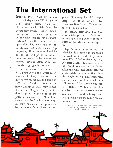## The International Set

SINCE PARLIAMENT authorized an independent TV channel in 1955, giving Britons their first chance to switch dials from the government-owned British Broadcasting Corp., commercial programs on the new channel have consistently outdrawn the commercial-free opposition. The latest Nielsen survey showed that of Britain's ten top programs, all ten were produced by one of the eight private broadcast ing firms that share the independent channel ( divided according to time periods or geographic areas).

One big reason for commercial TV's popularity is the lighter entertainment it offers, in contrast to the generally more serious, and stodgier, BBC fare. Another reason is the heavy salting of U. S. movies and TV series. " Wagon Train," which draws up to 75 per cent of the potential audience of 21 million viewers, may be Britain's most popular show outside of an appearance by the Queen. Other American imports: " Highway Patrol," ' Wyatt Earp," "Sheriff of Cochise," "San Francisco Beat," and "The Adventures of Rin-Tin-Tin" . . .

In Japan, television has long since outstripped in popularity such ancient spectator pastimes as moonwatching and cherry blossom appreciation.

Japan's social scientists say that television is a factor in shattering the traditional mold of Japanese home life. "Before the war," psychologist Masaki Takizawa reports, "the family centered on the father. After the war, occupation reforms weakened the father's position. People thought this was only temporary. But now television has brought him still lower. Men come home earlier. Before TV they would stop at a bar or cabaret or restaurant or sake shop. Now they hurry home to sit around with the family watching television . . ."

From Sept. 8, 1958 and Oct. 13, 1958 issues of Newsweek Magazine. Reprinted with permission.

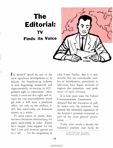## The Editorial: TV Finds its Voice



IN WHAT MAY be one of the most significant developments in its history, the broadcasting industry is now beginning, tentatively and experimentally, to exercise its FCCgranted right to editorialize. How wisely it exercises this right and accepts the vast responsibilities which go with it will have a profound effect, not only on the medium itself, but, conceivably, on American society as a whole.

To some extent, of course, there has been broadcast editorializing for years, particularly in radio. Topics have ranged from support for the Red Cross and sermons against sin to a call . . . for the resignation of John Foster Dulles. But it is only recently that any considerable number of broadcasters, particularly in television, have begun seriously to explore the potentials—and problems—of open advocacy.

It is nine years since the Federal Communications Commission . . . declared that the discussion of public issues over the airwaves "may include the identified expression of the licensee's personal viewpoint as part of the more general presentation . . ."

Today, after nearly a decade, the industry's position may fairly be

From Television Magazine. Reprinted with permission.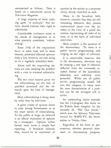summarized as follows. Data is based on a nationwide survey by Television Magazine.

A large majority of these replying agree "in principle" that stations should exercise their right to editorialize.

Considerable confusion exists in the minds of management as to what precisely constitutes "editorializing."

Some 25% of the respondents have, at some time and in some manner, presented editorial opinion. Only a few, however, are now doing so on a regularly scheduled basis.

About half the responding stations are now studying the problem with a view to eventual editorializing.

The two main reasons given for not editorializing are the lack of qualified personnel and the demands upon the time of management.

More editorializing is being done by radio than by television. . . .

A great variety of opinion seems to exist among broadcasters as to the exact nature of editorializing. To the public at large, an editorial is an official expression of opinion by a newspaper. Opinion within factual news items is simply bad reporting. A broadcast editorial then, would be an expression of opinion by the station as a corporate entity, clearly identified as such.

Many in the broadcast field, however, consider that they are editorializing whenever they present controversial issues over the air, either in the form of a panel discussion, representing all sides of an issue, or in the form of individual interviews.

More complex is the question of the documentary. To some it is public service programming, only verging on the edges of advocacy.

It is conceivable, however, that in the documentary, television may be creating a new type of editorial, different from the commonly accepted format of the journalistic statement, and infinitely more powerful. While not all public service programming would fall into this category, in many cases the mere dramatization of a problem can be the strongest call to action.

An outstanding recent example was the 13-program film series on the Toledo State Hospital for the mentally ill, "The One Inside," which won the Sylvania Television Award for WSPD-TV, the Storer station in Toledo, Ohio.

Regardless of the form of presentation, whether personal statement or documentary program,

20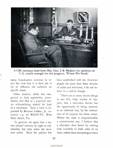

A CBS newsman interviews Maj. Gen. J. B. Medaris for opinions on U.S. missile strength for the program, 'Where We Stand.'

many broadcasters continue to reject the view that it is their job to try to influence the audience on specific issues.

Other stations, while less categorical in their opposition, nevertheless feel that as a practical matter editorializing should be kept to a minimum. Such a view is expressed by Bertram Lebhar, Jr., executive v.p. of WEAT-TV, West Palm Beach, Fla.

"In general, we agree that a station should exercise its right to editorialize, but only when the occasion arises. Since the pattern has been established with the American people for more than three decades of radio and television, I do not believe in a radical change.

"There are so many decent things in our life, truly worthy of support, that a television station has the opportunity of being counted, in an editorial way, by the enthusiasm of its support for these causes. Where the issue is unquestionably a controversial one, I believe that a telecaster does better by making time available to both sides of an issue, rather than attempting to force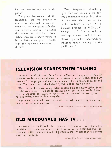his own personal opinion on the public" . . .

The pride that comes with the realization that the broadcaster can be as influential in his community as the newspaper publisher —in fact even more so—is a factor that cannot be overlooked. Some station men are strongly motivated by the desire to compete editorially with the dominant newspaper in the area.

"Not infrequently, editorializing by a television station is the only way a community can get both sides of questions which involve the public welfare," declares A. J. Fletcher, president of WRAL-TV, Raleigh, N. C. "In our opinion, newspapers should not have exclusive right to the opportunity to influence public thinking for the public good."

### TELEVISION STARTS THEM TALKING

In the first week of pianist Van Cliburn's Moscow triumph, an average of 125,000 people a day talked about him in conversation with friends and 70 percent of these people said television stimulated their interest. In his second week, Van Cliburn was talked about by two million people a day.

Then the bushy-haired young artist appeared on the Steve Allen Show and the average day's "talk-about" reached almost six million people. A week later he appeared on Person to Person and in that week an average of 11 million people discussed him every day.

And when you asked these people what started them talking about him, over 90 percent said television.

 $-From$  a survey by  $T<sub>s</sub>l$  vision Bureau of Advertising

### OLD MACDONALD HAS TV . . .

As recently as 1950, only three percent of American farm homes had television sets. Today an estimated two-thirds of all farm families own sets. This means that there are about 10 percent more TV sets than telephones down on the farm.

—From United States Census Bureau reports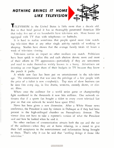## NOTHING BRINGS IT HOME LIKE TELEVISION



ï

TELEVISION in the United States is little more than a decade old. But in that brief period it has so thoroughly penetrated American lifethat today five out of six households have television sets. More homes are equipped with TV than with telephones—or bathtubs.

It is hard to realize sometimes that people spend more time watching television than at any other single activity outside of working or sleeping. Studies have shown that the average family totals 42 hours a week of television viewing.

Television carries an impact no other medium can match. Politicians have been quick to realize this and each election devote more and more of their efforts to TV appearances—particularly if they are newcomers and need to make themselves widely known in a hurry. Advertisers are investing an ever bigger share of their budgets in TV because they know the punch it packs.

A whole new face has been put on entertainment in the television age. The entertainment that was once the privilege of a few people with the price of a ticket is now everybody's. Top stars of show business can be seen free every day, in live drama, westerns, comedy shows, or classic films.

Where once the audience for a world series game or championship. fight numbered in the thousands it now hits millions. One network estimates that if a sports fan bought a ticket to every event televised last year on that one network he would have spent \$762.

News has been given a new dimension. After a White House news conference, the President is seen by viewers in Dubuque as if they had been present in the high-ceilinged chamber on Pennsylvania Avenue. The viewer does not have to take a reporter's version of what the President said and how he looked when he said it.

No other medium of communication attracts both the eye and the ear of the audience—when they are at home relaxing, in a mood to give their full acceptance to the entertainment and information being brought to them. That's why it can be said that "nothing brings it home like television."